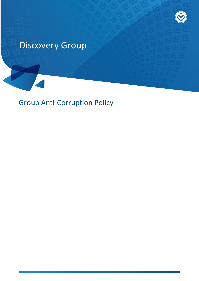

# Discovery Group

Group Anti-Corruption Policy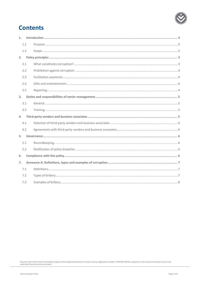

# **Contents**

| 1. |     |  |
|----|-----|--|
|    | 1.1 |  |
|    | 1.2 |  |
| 2. |     |  |
|    | 2.1 |  |
|    | 2.2 |  |
|    | 2.3 |  |
|    | 2.4 |  |
|    | 2.5 |  |
| 3. |     |  |
|    | 3.1 |  |
|    | 3.2 |  |
| 4. |     |  |
|    | 4.1 |  |
|    | 4.2 |  |
| 5. |     |  |
|    | 5.1 |  |
|    | 5.2 |  |
| 6. |     |  |
| 7. |     |  |
|    | 7.1 |  |
|    | 7.2 |  |
|    | 7.3 |  |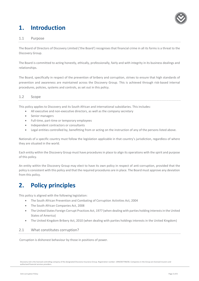

# <span id="page-2-0"></span>**1. Introduction**

#### <span id="page-2-1"></span>1.1 Purpose

The Board of Directors of Discovery Limited ('the Board') recognises that financial crime in all its forms is a threat to the Discovery Group.

The Board is committed to acting honestly, ethically, professionally, fairly and with integrity in its business dealings and relationships.

The Board, specifically in respect of the prevention of bribery and corruption, strives to ensure that high standards of prevention and awareness are maintained across the Discovery Group. This is achieved through risk-based internal procedures, policies, systems and controls, as set out in this policy.

#### <span id="page-2-2"></span>1.2 Scope

This policy applies to Discovery and its South African and international subsidiaries. This includes:

- All executive and non-executive directors, as well as the company secretary
- Senior managers
- Full-time, part-time or temporary employees
- Independent contractors or consultants
- Legal entities controlled by, benefitting from or acting on the instruction of any of the persons listed above.

Nationals of a specific country must follow the legislation applicable in that country's jurisdiction, regardless of where they are situated in the world.

Each entity within the Discovery Group must have procedures in place to align its operations with the spirit and purpose of this policy.

An entity within the Discovery Group may elect to have its own policy in respect of anti-corruption, provided that the policy is consistent with this policy and that the required procedures are in place. The Board must approve any deviation from this policy.

# <span id="page-2-3"></span>**2. Policy principles**

This policy is aligned with the following legislation:

- The South African Prevention and Combating of Corruption Activities Act, 2004
- The South African Companies Act, 2008
- The United States Foreign Corrupt Practices Act, 1977 (when dealing with parties holding interests in the United States of America)
- The United Kingdom Bribery Act, 2010 (when dealing with parties holdings interests in the United Kingdom)

#### <span id="page-2-4"></span>2.1 What constitutes corruption?

Corruption is dishonest behaviour by those in positions of power.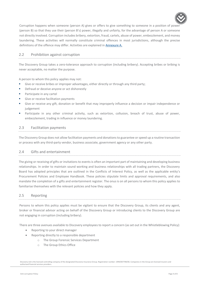

Corruption happens when someone (person A) gives or offers to give something to someone in a position of power (person B) so that they use their (person B's) power, illegally and unfairly, for the advantage of person A or someone not directly involved. Corruption includes bribery, extortion, fraud, cartels, abuse of power, embezzlement, and money laundering. These activities will normally constitute criminal offences in most jurisdictions, although the precise definitions of the offence may differ. Activities are explained in [Annexure A.](#page-6-0)

#### <span id="page-3-0"></span>2.2 Prohibition against corruption

The Discovery Group takes a zero-tolerance approach to corruption (including bribery). Accepting bribes or bribing is never acceptable, no matter the purpose.

A person to whom this policy applies may not:

- Give or receive bribes or improper advantages, either directly or through any third party;
- **•** Defraud or deceive anyone or act dishonestly
- Participate in any cartel
- Give or receive facilitation payments
- Give or receive any gift, donation or benefit that may improperly influence a decision or impair independence or judgement
- Participate in any other criminal activity, such as extortion, collusion, breach of trust, abuse of power, embezzlement, trading in influence or money laundering.

#### <span id="page-3-1"></span>2.3 Facilitation payments

The Discovery Group does not allow facilitation payments and donations to guarantee or speed up a routine transaction or process with any third-party vendor, business associate, government agency or any other party.

#### <span id="page-3-2"></span>2.4 Gifts and entertainment

The giving or receiving of gifts or invitations to events is often an important part of maintaining and developing business relationships. In order to maintain sound working and business relationships with all trading partners, the Discovery Board has adopted principles that are outlined in the Conflicts of Interest Policy, as well as the applicable entity's Procurement Policies and Employee Handbook. These policies stipulate limits and approval requirements, and also mandate the completion of a gifts and entertainment register. The onus is on all persons to whom this policy applies to familiarise themselves with the relevant policies and how they apply.

#### <span id="page-3-3"></span>2.5 Reporting

Persons to whom this policy applies must be vigilant to ensure that the Discovery Group, its clients and any agent, broker or financial advisor acting on behalf of the Discovery Group or introducing clients to the Discovery Group are not engaging in corruption (including bribery).

There are three avenues available to Discovery employees to report a concern (as set out in the Whistleblowing Policy):

- Reporting to your direct manager
- Reporting directly to a responsible department
	- o The Group Forensic Services Department
	- o The Group Ethics Office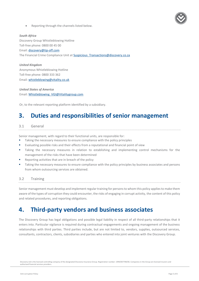

Reporting through the channels listed below.

*South Africa* Discovery Group Whistleblowing Hotline Toll-free phone: 0800 00 45 00 Email: [discovery@tip-off.com](mailto:discovery@tip-off.com) The Financial Crime Compliance Unit at [Suspicious\\_Transactions@discovery.co.za](mailto:Suspicious_Transactions@discovery.co.za)

*United Kingdom* Anonymous Whistleblowing Hotline Toll-free phone: 0800 333 362 Email: [whistleblowing@vitality.co.uk](mailto:whistleblowing@vitality.co.uk)

*United States of America* Email: [Whistleblowing\\_VGI@Vitalitygroup.com](mailto:Whistleblowing_VGI@Vitalitygroup.com)

<span id="page-4-0"></span>Or, to the relevant reporting platform identified by a subsidiary.

### **3. Duties and responsibilities of senior management**

#### <span id="page-4-1"></span>3.1 General

Senior management, with regard to their functional units, are responsible for:

- Taking the necessary measures to ensure compliance with the policy principles
- Evaluating possible risks and their effects from a reputational and financial point of view
- Taking the necessary measures in relation to establishing and implementing control mechanisms for the management of the risks that have been determined
- Reporting activities that are in breach of the policy
- Taking the necessary measures to ensure compliance with the policy principles by business associates and persons from whom outsourcing services are obtained.

#### <span id="page-4-2"></span>3.2 Training

Senior management must develop and implement regular training for persons to whom this policy applies to make them aware of the types of corruption they could encounter, the risks of engaging in corrupt activity, the content of this policy and related procedures, and reporting obligations.

### <span id="page-4-3"></span>**4. Third-party vendors and business associates**

The Discovery Group has legal obligations and possible legal liability in respect of all third-party relationships that it enters into. Particular vigilance is required during contractual engagements and ongoing management of the business relationships with third parties. Third parties include, but are not limited to, vendors, supplies, outsourced services, consultants, contractors, clients, subsidiaries and parties who entered into joint ventures with the Discovery Group.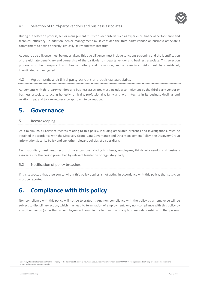#### <span id="page-5-0"></span>4.1 Selection of third-party vendors and business associates

During the selection process, senior management must consider criteria such as experience, financial performance and technical efficiency. In addition, senior management must consider the third-party vendor or business associate's commitment to acting honestly, ethically, fairly and with integrity.

Adequate due diligence must be undertaken. This due diligence must include sanctions screening and the identification of the ultimate beneficiary and ownership of the particular third-party vendor and business associate. This selection process must be transparent and free of bribery and corruption, and all associated risks must be considered, investigated and mitigated.

#### <span id="page-5-1"></span>4.2 Agreements with third-party vendors and business associates

Agreements with third-party vendors and business associates must include a commitment by the third-party vendor or business associate to acting honestly, ethically, professionally, fairly and with integrity in its business dealings and relationships, and to a zero-tolerance approach to corruption.

### <span id="page-5-2"></span>**5. Governance**

#### <span id="page-5-3"></span>5.1 Recordkeeping

At a minimum, all relevant records relating to this policy, including associated breaches and investigations, must be retained in accordance with the Discovery Group Data Governance and Data Management Policy, the Discovery Group Information Security Policy and any other relevant policies of a subsidiary.

Each subsidiary must keep record of investigations relating to clients, employees, third-party vendor and business associates for the period prescribed by relevant legislation or regulatory body.

#### <span id="page-5-4"></span>5.2 Notification of policy breaches

If it is suspected that a person to whom this policy applies is not acting in accordance with this policy, that suspicion must be reported.

# <span id="page-5-5"></span>**6. Compliance with this policy**

Non-compliance with this policy will not be tolerated. . Any non-compliance with the policy by an employee will be subject to disciplinary action, which may lead to termination of employment. Any non-compliance with this policy by any other person (other than an employee) will result in the termination of any business relationship with that person.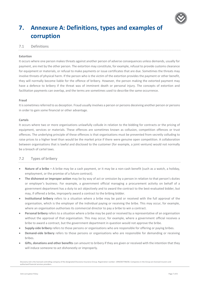

# <span id="page-6-0"></span>**7. Annexure A: Definitions, types and examples of corruption**

#### <span id="page-6-1"></span>7.1 Definitions

#### **Extortion**

It occurs where one person makes threats against another person of adverse consequences unless demands, usually for payment, are met by the other person. The extortion may constitute, for example, refusal to provide customs clearance for equipment or materials, or refusal to make payments or issue certificates that are due. Sometimes the threats may involve threats of physical harm. If the person who is the victim of the extortion provides the payment or other benefit, they will normally become liable for the offence of bribery. However, the person making the extorted payment may have a defence to bribery if the threat was of imminent death or personal injury. The concepts of extortion and facilitation payments can overlap, and the terms are sometimes used to describe the same occurrence.

#### **Fraud**

It is sometimes referred to as deception. Fraud usually involves a person or persons deceiving another person or persons in order to gain some financial or other advantage.

#### **Cartels**

It occurs where two or more organisations unlawfully collude in relation to the bidding for contracts or the pricing of equipment, services or materials. These offences are sometimes known as collusion, competition offences or trust offences. The underlying principle of these offences is that organisations must be prevented from secretly colluding to raise prices to a higher level than would be the market price if there were genuine open competition. A collaboration between organisations that is lawful and disclosed to the customer (for example, a joint venture) would not normally be a breach of cartel laws.

#### <span id="page-6-2"></span>7.2 Types of bribery

- **Nature of a bribe –** A bribe may be a cash payment, or it may be a non-cash benefit (such as a watch, a holiday, employment, or the promise of a future contract).
- **The dishonest or improper action** may be by way of act or omission by a person in relation to that person's duties or employer's business. For example, a government official managing a procurement activity on behalf of a government department has a duty to act objectively and to award the contract to the best-evaluated bidder, but may, if offered a bribe, improperly award a contract to the bribing bidder.
- **Institutional bribery** refers to a situation where a bribe may be paid or received with the full approval of the organisation, which is the employer of the individual paying or receiving the bribe. This may occur, for example, where an organisation authorises its commercial director to pay a bribe to win a contract.
- **Personal bribery** refers to a situation where a bribe may be paid or received by a representative of an organisation without the approval of that organisation. This may occur, for example, where a government official receives a bribe to award a contract, but the government department in question would not approve the bribe.
- **Supply-side bribery** refers to those persons or organisations who are responsible for offering or paying bribes.
- **Demand-side bribery** refers to those persons or organisations who are responsible for demanding or receiving bribes.
- **Gifts, donations and other benefits** can amount to bribery if they are given or received with the intention that they will induce someone to act dishonestly or improperly.